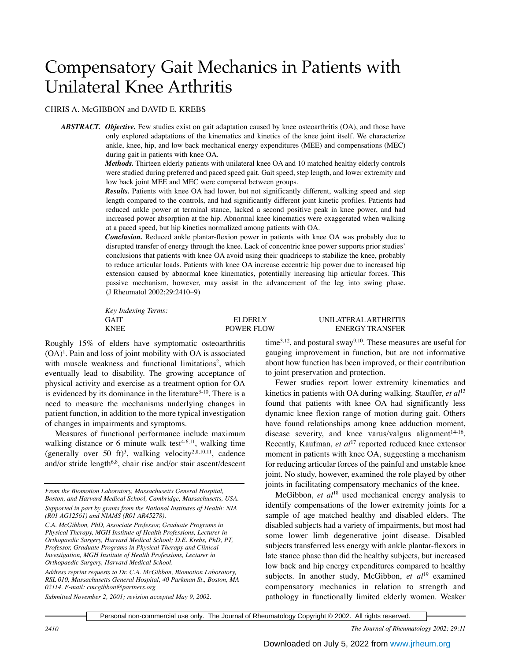# Compensatory Gait Mechanics in Patients with Unilateral Knee Arthritis

# CHRIS A. McGIBBON and DAVID E. KREBS

*ABSTRACT. Objective.* Few studies exist on gait adaptation caused by knee osteoarthritis (OA), and those have only explored adaptations of the kinematics and kinetics of the knee joint itself. We characterize ankle, knee, hip, and low back mechanical energy expenditures (MEE) and compensations (MEC) during gait in patients with knee OA.

> *Methods.* Thirteen elderly patients with unilateral knee OA and 10 matched healthy elderly controls were studied during preferred and paced speed gait. Gait speed, step length, and lower extremity and low back joint MEE and MEC were compared between groups.

> *Results.* Patients with knee OA had lower, but not significantly different, walking speed and step length compared to the controls, and had significantly different joint kinetic profiles. Patients had reduced ankle power at terminal stance, lacked a second positive peak in knee power, and had increased power absorption at the hip. Abnormal knee kinematics were exaggerated when walking at a paced speed, but hip kinetics normalized among patients with OA.

> *Conclusion.* Reduced ankle plantar-flexion power in patients with knee OA was probably due to disrupted transfer of energy through the knee. Lack of concentric knee power supports prior studies' conclusions that patients with knee OA avoid using their quadriceps to stabilize the knee, probably to reduce articular loads. Patients with knee OA increase eccentric hip power due to increased hip extension caused by abnormal knee kinematics, potentially increasing hip articular forces. This passive mechanism, however, may assist in the advancement of the leg into swing phase. (J Rheumatol 2002;29:2410–9)

*Key Indexing Terms:*

#### GAIT ELDERLY UNILATERAL ARTHRITIS KNEE POWER FLOW ENERGY TRANSFER

Roughly 15% of elders have symptomatic osteoarthritis  $(OA)^1$ . Pain and loss of joint mobility with  $OA$  is associated with muscle weakness and functional limitations<sup>2</sup>, which eventually lead to disability. The growing acceptance of physical activity and exercise as a treatment option for OA is evidenced by its dominance in the literature<sup>3-10</sup>. There is a need to measure the mechanisms underlying changes in patient function, in addition to the more typical investigation of changes in impairments and symptoms.

Measures of functional performance include maximum walking distance or 6 minute walk test $4-6,11$ , walking time (generally over 50 ft)<sup>3</sup>, walking velocity<sup>2,8,10,11</sup>, cadence and/or stride length<sup>6,8</sup>, chair rise and/or stair ascent/descent

*From the Biomotion Laboratory, Massachusetts General Hospital, Boston, and Harvard Medical School, Cambridge, Massachusetts, USA. Supported in part by grants from the National Institutes of Health: NIA (R01 AG12561) and NIAMS (R01 AR45278).*

*Address reprint requests to Dr. C.A. McGibbon, Biomotion Laboratory, RSL 010, Massachusetts General Hospital, 40 Parkman St., Boston, MA 02114. E-mail: cmcgibbon@partners.org*

*Submitted November 2, 2001; revision accepted May 9, 2002.*

time<sup>3,12</sup>, and postural sway<sup>9,10</sup>. These measures are useful for gauging improvement in function, but are not informative about how function has been improved, or their contribution to joint preservation and protection.

Fewer studies report lower extremity kinematics and kinetics in patients with OA during walking. Stauffer, *et al*<sup>13</sup> found that patients with knee OA had significantly less dynamic knee flexion range of motion during gait. Others have found relationships among knee adduction moment, disease severity, and knee varus/valgus alignment $14-16$ . Recently, Kaufman, *et al*<sup>17</sup> reported reduced knee extensor moment in patients with knee OA, suggesting a mechanism for reducing articular forces of the painful and unstable knee joint. No study, however, examined the role played by other joints in facilitating compensatory mechanics of the knee.

McGibbon, *et al*<sup>18</sup> used mechanical energy analysis to identify compensations of the lower extremity joints for a sample of age matched healthy and disabled elders. The disabled subjects had a variety of impairments, but most had some lower limb degenerative joint disease. Disabled subjects transferred less energy with ankle plantar-flexors in late stance phase than did the healthy subjects, but increased low back and hip energy expenditures compared to healthy subjects. In another study, McGibbon, *et al*<sup>19</sup> examined compensatory mechanics in relation to strength and pathology in functionally limited elderly women. Weaker

*C.A. McGibbon, PhD, Associate Professor, Graduate Programs in Physical Therapy, MGH Institute of Health Professions, Lecturer in Orthopaedic Surgery, Harvard Medical School; D.E. Krebs, PhD, PT, Professor, Graduate Programs in Physical Therapy and Clinical Investigation, MGH Institute of Health Professions, Lecturer in Orthopaedic Surgery, Harvard Medical School.*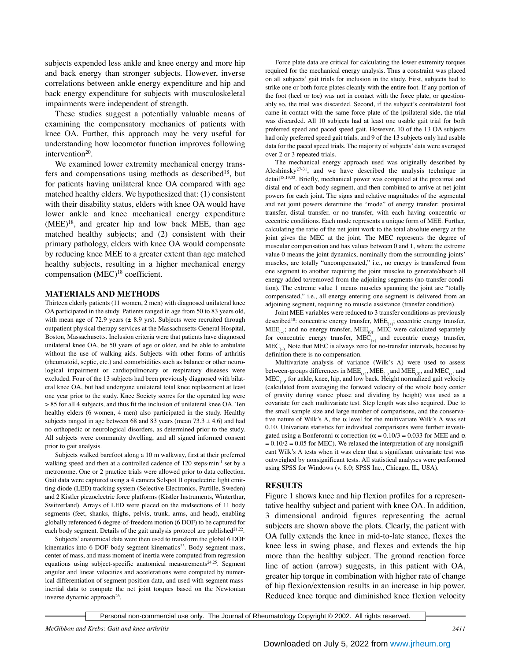subjects expended less ankle and knee energy and more hip and back energy than stronger subjects. However, inverse correlations between ankle energy expenditure and hip and back energy expenditure for subjects with musculoskeletal impairments were independent of strength.

These studies suggest a potentially valuable means of examining the compensatory mechanics of patients with knee OA. Further, this approach may be very useful for understanding how locomotor function improves following intervention<sup>20</sup>.

We examined lower extremity mechanical energy transfers and compensations using methods as described18, but for patients having unilateral knee OA compared with age matched healthy elders. We hypothesized that: (1) consistent with their disability status, elders with knee OA would have lower ankle and knee mechanical energy expenditure (MEE)18, and greater hip and low back MEE, than age matched healthy subjects; and (2) consistent with their primary pathology, elders with knee OA would compensate by reducing knee MEE to a greater extent than age matched healthy subjects, resulting in a higher mechanical energy compensation (MEC)<sup>18</sup> coefficient.

## **MATERIALS AND METHODS**

Thirteen elderly patients (11 women, 2 men) with diagnosed unilateral knee OA participated in the study. Patients ranged in age from 50 to 83 years old, with mean age of 72.9 years  $(\pm 8.9 \text{ yrs})$ . Subjects were recruited through outpatient physical therapy services at the Massachusetts General Hospital, Boston, Massachusetts. Inclusion criteria were that patients have diagnosed unilateral knee OA, be 50 years of age or older, and be able to ambulate without the use of walking aids. Subjects with other forms of arthritis (rheumatoid, septic, etc.) and comorbidities such as balance or other neurological impairment or cardiopulmonary or respiratory diseases were excluded. Four of the 13 subjects had been previously diagnosed with bilateral knee OA, but had undergone unilateral total knee replacement at least one year prior to the study. Knee Society scores for the operated leg were > 85 for all 4 subjects, and thus fit the inclusion of unilateral knee OA. Ten healthy elders (6 women, 4 men) also participated in the study. Healthy subjects ranged in age between 68 and 83 years (mean  $73.3 \pm 4.6$ ) and had no orthopedic or neurological disorders, as determined prior to the study. All subjects were community dwelling, and all signed informed consent prior to gait analysis.

Subjects walked barefoot along a 10 m walkway, first at their preferred walking speed and then at a controlled cadence of 120 steps min<sup>-1</sup> set by a metronome. One or 2 practice trials were allowed prior to data collection. Gait data were captured using a 4 camera Selspot II optoelectric light emitting diode (LED) tracking system (Selective Electronics, Partille, Sweden) and 2 Kistler piezoelectric force platforms (Kistler Instruments, Winterthur, Switzerland). Arrays of LED were placed on the midsections of 11 body segments (feet, shanks, thighs, pelvis, trunk, arms, and head), enabling globally referenced 6 degree-of-freedom motion (6 DOF) to be captured for each body segment. Details of the gait analysis protocol are published $2^{1,22}$ .

Subjects' anatomical data were then used to transform the global 6 DOF kinematics into 6 DOF body segment kinematics<sup>23</sup>. Body segment mass, center of mass, and mass moment of inertia were computed from regression equations using subject-specific anatomical measurements $24,25$ . Segment angular and linear velocities and accelerations were computed by numerical differentiation of segment position data, and used with segment massinertial data to compute the net joint torques based on the Newtonian inverse dynamic approach<sup>26</sup>.

Force plate data are critical for calculating the lower extremity torques required for the mechanical energy analysis. Thus a constraint was placed on all subjects' gait trials for inclusion in the study. First, subjects had to strike one or both force plates cleanly with the entire foot. If any portion of the foot (heel or toe) was not in contact with the force plate, or questionably so, the trial was discarded. Second, if the subject's contralateral foot came in contact with the same force plate of the ipsilateral side, the trial was discarded. All 10 subjects had at least one usable gait trial for both preferred speed and paced speed gait. However, 10 of the 13 OA subjects had only preferred speed gait trials, and 9 of the 13 subjects only had usable data for the paced speed trials. The majority of subjects' data were averaged over 2 or 3 repeated trials.

The mechanical energy approach used was originally described by Aleshinsky27-31, and we have described the analysis technique in detail<sup>18,19,32</sup>. Briefly, mechanical power was computed at the proximal and distal end of each body segment, and then combined to arrive at net joint powers for each joint. The signs and relative magnitudes of the segmental and net joint powers determine the "mode" of energy transfer: proximal transfer, distal transfer, or no transfer, with each having concentric or eccentric conditions. Each mode represents a unique form of MEE. Further, calculating the ratio of the net joint work to the total absolute energy at the joint gives the MEC at the joint. The MEC represents the degree of muscular compensation and has values between 0 and 1, where the extreme value 0 means the joint dynamics, nominally from the surrounding joints' muscles, are totally "uncompensated," i.e., no energy is transferred from one segment to another requiring the joint muscles to generate/absorb all energy added to/removed from the adjoining segments (no-transfer condition). The extreme value 1 means muscles spanning the joint are "totally compensated," i.e., all energy entering one segment is delivered from an adjoining segment, requiring no muscle assistance (transfer condition).

Joint MEE variables were reduced to 3 transfer conditions as previously described<sup>18</sup>: concentric energy transfer,  $MEE_{(+)}$ ; eccentric energy transfer,  $MEE_{(+)}$ ; and no energy transfer,  $MEE_{(0)}$ . MEC were calculated separately for concentric energy transfer,  $MEC_{(+)}$  and eccentric energy transfer,  $MEC_{\text{c}}$ . Note that MEC is always zero for no-transfer intervals, because by definition there is no compensation.

Multivariate analysis of variance (Wilk's Λ) were used to assess between-groups differences in  $MEE_{(+)}, MEE_{(-)}$  and  $MEE_{(0)},$  and  $MEC_{(+)}$  and  $MEC_{\text{c}}$ , for ankle, knee, hip, and low back. Height normalized gait velocity (calculated from averaging the forward velocity of the whole body center of gravity during stance phase and dividing by height) was used as a covariate for each multivariate test. Step length was also acquired. Due to the small sample size and large number of comparisons, and the conservative nature of Wilk's Λ, the α level for the multivariate Wilk's Λ was set 0.10. Univariate statistics for individual comparisons were further investigated using a Bonferonni  $\alpha$  correction ( $\alpha = 0.10/3 = 0.033$  for MEE and  $\alpha$  $= 0.10/2 = 0.05$  for MEC). We relaxed the interpretation of any nonsignificant Wilk's Λ tests when it was clear that a significant univariate test was outweighed by nonsignificant tests. All statistical analyses were performed using SPSS for Windows (v. 8.0; SPSS Inc., Chicago, IL, USA).

#### **RESULTS**

Figure 1 shows knee and hip flexion profiles for a representative healthy subject and patient with knee OA. In addition, 3 dimensional android figures representing the actual subjects are shown above the plots. Clearly, the patient with OA fully extends the knee in mid-to-late stance, flexes the knee less in swing phase, and flexes and extends the hip more than the healthy subject. The ground reaction force line of action (arrow) suggests, in this patient with OA, greater hip torque in combination with higher rate of change of hip flexion/extension results in an increase in hip power. Reduced knee torque and diminished knee flexion velocity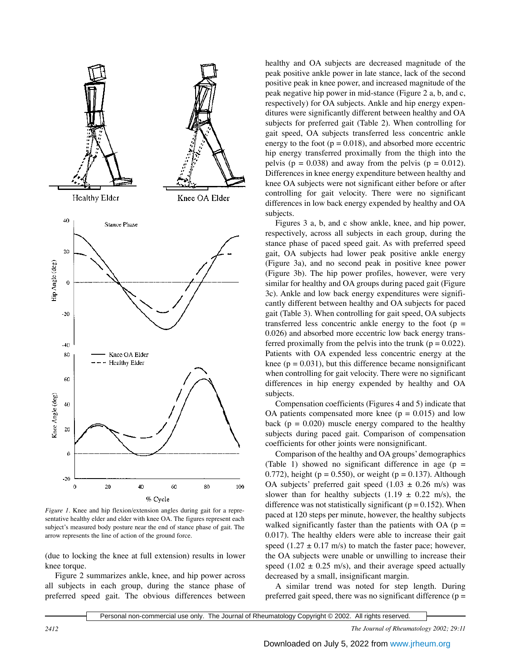

*Figure 1.* Knee and hip flexion/extension angles during gait for a representative healthy elder and elder with knee OA. The figures represent each subject's measured body posture near the end of stance phase of gait. The arrow represents the line of action of the ground force.

(due to locking the knee at full extension) results in lower knee torque.

Figure 2 summarizes ankle, knee, and hip power across all subjects in each group, during the stance phase of preferred speed gait. The obvious differences between

healthy and OA subjects are decreased magnitude of the peak positive ankle power in late stance, lack of the second positive peak in knee power, and increased magnitude of the peak negative hip power in mid-stance (Figure 2 a, b, and c, respectively) for OA subjects. Ankle and hip energy expenditures were significantly different between healthy and OA subjects for preferred gait (Table 2). When controlling for gait speed, OA subjects transferred less concentric ankle energy to the foot ( $p = 0.018$ ), and absorbed more eccentric hip energy transferred proximally from the thigh into the pelvis ( $p = 0.038$ ) and away from the pelvis ( $p = 0.012$ ). Differences in knee energy expenditure between healthy and knee OA subjects were not significant either before or after controlling for gait velocity. There were no significant differences in low back energy expended by healthy and OA subjects.

Figures 3 a, b, and c show ankle, knee, and hip power, respectively, across all subjects in each group, during the stance phase of paced speed gait. As with preferred speed gait, OA subjects had lower peak positive ankle energy (Figure 3a), and no second peak in positive knee power (Figure 3b). The hip power profiles, however, were very similar for healthy and OA groups during paced gait (Figure 3c). Ankle and low back energy expenditures were significantly different between healthy and OA subjects for paced gait (Table 3). When controlling for gait speed, OA subjects transferred less concentric ankle energy to the foot ( $p =$ 0.026) and absorbed more eccentric low back energy transferred proximally from the pelvis into the trunk ( $p = 0.022$ ). Patients with OA expended less concentric energy at the knee ( $p = 0.031$ ), but this difference became nonsignificant when controlling for gait velocity. There were no significant differences in hip energy expended by healthy and OA subjects.

Compensation coefficients (Figures 4 and 5) indicate that OA patients compensated more knee  $(p = 0.015)$  and low back ( $p = 0.020$ ) muscle energy compared to the healthy subjects during paced gait. Comparison of compensation coefficients for other joints were nonsignificant.

Comparison of the healthy and OA groups' demographics (Table 1) showed no significant difference in age ( $p =$ 0.772), height ( $p = 0.550$ ), or weight ( $p = 0.137$ ). Although OA subjects' preferred gait speed  $(1.03 \pm 0.26 \text{ m/s})$  was slower than for healthy subjects  $(1.19 \pm 0.22 \text{ m/s})$ , the difference was not statistically significant ( $p = 0.152$ ). When paced at 120 steps per minute, however, the healthy subjects walked significantly faster than the patients with  $OA (p =$ 0.017). The healthy elders were able to increase their gait speed  $(1.27 \pm 0.17 \text{ m/s})$  to match the faster pace; however, the OA subjects were unable or unwilling to increase their speed  $(1.02 \pm 0.25 \text{ m/s})$ , and their average speed actually decreased by a small, insignificant margin.

A similar trend was noted for step length. During preferred gait speed, there was no significant difference  $(p =$ 

Personal non-commercial use only. The Journal of Rheumatology Copyright © 2002. All rights reserved.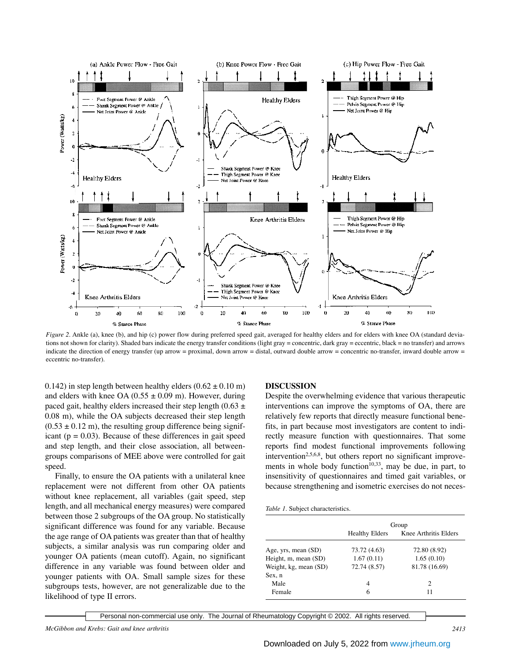

*Figure 2.* Ankle (a), knee (b), and hip (c) power flow during preferred speed gait, averaged for healthy elders and for elders with knee OA (standard deviations not shown for clarity). Shaded bars indicate the energy transfer conditions (light gray = concentric, dark gray = eccentric, black = no transfer) and arrows indicate the direction of energy transfer (up arrow = proximal, down arrow = distal, outward double arrow = concentric no-transfer, inward double arrow = eccentric no-transfer).

0.142) in step length between healthy elders  $(0.62 \pm 0.10 \text{ m})$ and elders with knee OA ( $0.55 \pm 0.09$  m). However, during paced gait, healthy elders increased their step length  $(0.63 \pm 1)$ 0.08 m), while the OA subjects decreased their step length  $(0.53 \pm 0.12 \text{ m})$ , the resulting group difference being significant ( $p = 0.03$ ). Because of these differences in gait speed and step length, and their close association, all betweengroups comparisons of MEE above were controlled for gait speed.

Finally, to ensure the OA patients with a unilateral knee replacement were not different from other OA patients without knee replacement, all variables (gait speed, step length, and all mechanical energy measures) were compared between those 2 subgroups of the OA group. No statistically significant difference was found for any variable. Because the age range of OA patients was greater than that of healthy subjects, a similar analysis was run comparing older and younger OA patients (mean cutoff). Again, no significant difference in any variable was found between older and younger patients with OA. Small sample sizes for these subgroups tests, however, are not generalizable due to the likelihood of type II errors.

### **DISCUSSION**

Despite the overwhelming evidence that various therapeutic interventions can improve the symptoms of OA, there are relatively few reports that directly measure functional benefits, in part because most investigators are content to indirectly measure function with questionnaires. That some reports find modest functional improvements following  $intervention^{2,5,6,8}$ , but others report no significant improvements in whole body function<sup>10,33</sup>, may be due, in part, to insensitivity of questionnaires and timed gait variables, or because strengthening and isometric exercises do not neces-

|  |  | Table 1. Subject characteristics. |
|--|--|-----------------------------------|
|--|--|-----------------------------------|

|                       | Group                 |                       |  |  |
|-----------------------|-----------------------|-----------------------|--|--|
|                       | <b>Healthy Elders</b> | Knee Arthritis Elders |  |  |
| Age, yrs, mean (SD)   | 73.72 (4.63)          | 72.80 (8.92)          |  |  |
| Height, m, mean (SD)  | 1.67(0.11)            | 1.65(0.10)            |  |  |
| Weight, kg, mean (SD) | 72.74 (8.57)          | 81.78 (16.69)         |  |  |
| Sex, n                |                       |                       |  |  |
| Male                  | 4                     | 2                     |  |  |
| Female                | 6                     | 11                    |  |  |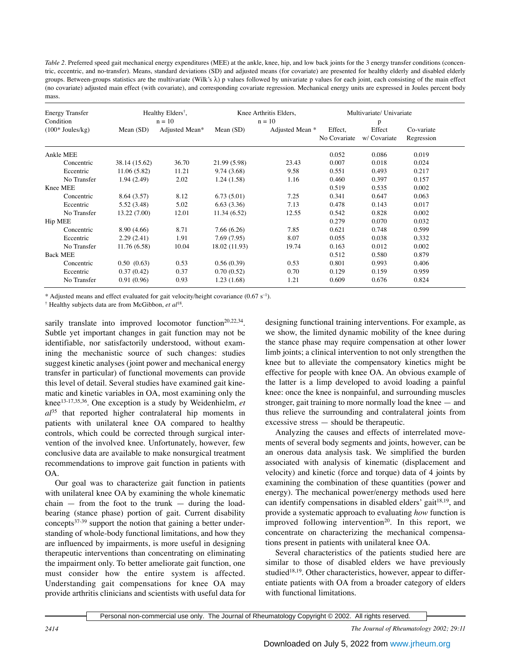*Table 2.* Preferred speed gait mechanical energy expenditures (MEE) at the ankle, knee, hip, and low back joints for the 3 energy transfer conditions (concentric, eccentric, and no-transfer). Means, standard deviations (SD) and adjusted means (for covariate) are presented for healthy elderly and disabled elderly groups. Between-groups statistics are the multivariate (Wilk's λ) p values followed by univariate p values for each joint, each consisting of the main effect (no covariate) adjusted main effect (with covariate), and corresponding covariate regression. Mechanical energy units are expressed in Joules percent body mass.

| <b>Energy Transfer</b><br>Condition |               | Healthy Elders <sup>†</sup> ,<br>$n = 10$ |               | Knee Arthritis Elders,<br>$n = 10$ |                         | Multivariate/ Univariate    |                          |  |
|-------------------------------------|---------------|-------------------------------------------|---------------|------------------------------------|-------------------------|-----------------------------|--------------------------|--|
| $(100*$ Joules/kg)                  | Mean $(SD)$   | Adjusted Mean*                            | Mean $(SD)$   | Adjusted Mean *                    | Effect,<br>No Covariate | p<br>Effect<br>w/ Covariate | Co-variate<br>Regression |  |
| Ankle MEE                           |               |                                           |               |                                    | 0.052                   | 0.086                       | 0.019                    |  |
| Concentric                          | 38.14 (15.62) | 36.70                                     | 21.99 (5.98)  | 23.43                              | 0.007                   | 0.018                       | 0.024                    |  |
| Eccentric                           | 11.06(5.82)   | 11.21                                     | 9.74(3.68)    | 9.58                               | 0.551                   | 0.493                       | 0.217                    |  |
| No Transfer                         | 1.94(2.49)    | 2.02                                      | 1.24(1.58)    | 1.16                               | 0.460                   | 0.397                       | 0.157                    |  |
| Knee MEE                            |               |                                           |               |                                    | 0.519                   | 0.535                       | 0.002                    |  |
| Concentric                          | 8.64(3.57)    | 8.12                                      | 6.73(5.01)    | 7.25                               | 0.341                   | 0.647                       | 0.063                    |  |
| Eccentric                           | 5.52(3.48)    | 5.02                                      | 6.63(3.36)    | 7.13                               | 0.478                   | 0.143                       | 0.017                    |  |
| No Transfer                         | 13.22 (7.00)  | 12.01                                     | 11.34(6.52)   | 12.55                              | 0.542                   | 0.828                       | 0.002                    |  |
| <b>Hip MEE</b>                      |               |                                           |               |                                    | 0.279                   | 0.070                       | 0.032                    |  |
| Concentric                          | 8.90(4.66)    | 8.71                                      | 7.66(6.26)    | 7.85                               | 0.621                   | 0.748                       | 0.599                    |  |
| Eccentric                           | 2.29(2.41)    | 1.91                                      | 7.69(7.95)    | 8.07                               | 0.055                   | 0.038                       | 0.332                    |  |
| No Transfer                         | 11.76(6.58)   | 10.04                                     | 18.02 (11.93) | 19.74                              | 0.163                   | 0.012                       | 0.002                    |  |
| <b>Back MEE</b>                     |               |                                           |               |                                    | 0.512                   | 0.580                       | 0.879                    |  |
| Concentric                          | 0.50(0.63)    | 0.53                                      | 0.56(0.39)    | 0.53                               | 0.801                   | 0.993                       | 0.406                    |  |
| Eccentric                           | 0.37(0.42)    | 0.37                                      | 0.70(0.52)    | 0.70                               | 0.129                   | 0.159                       | 0.959                    |  |
| No Transfer                         | 0.91(0.96)    | 0.93                                      | 1.23(1.68)    | 1.21                               | 0.609                   | 0.676                       | 0.824                    |  |

\* Adjusted means and effect evaluated for gait velocity/height covariance  $(0.67 \text{ s}^{-1})$ .

† Healthy subjects data are from McGibbon, *et al*18.

sarily translate into improved locomotor function<sup>20,22,34</sup>. Subtle yet important changes in gait function may not be identifiable, nor satisfactorily understood, without examining the mechanistic source of such changes: studies suggest kinetic analyses (joint power and mechanical energy transfer in particular) of functional movements can provide this level of detail. Several studies have examined gait kinematic and kinetic variables in OA, most examining only the knee13-17,35,36. One exception is a study by Weidenhielm, *et al*<sup>35</sup> that reported higher contralateral hip moments in patients with unilateral knee OA compared to healthy controls, which could be corrected through surgical intervention of the involved knee. Unfortunately, however, few conclusive data are available to make nonsurgical treatment recommendations to improve gait function in patients with OA.

Our goal was to characterize gait function in patients with unilateral knee OA by examining the whole kinematic chain  $-$  from the foot to the trunk  $-$  during the loadbearing (stance phase) portion of gait. Current disability concepts $37-39$  support the notion that gaining a better understanding of whole-body functional limitations, and how they are influenced by impairments, is more useful in designing therapeutic interventions than concentrating on eliminating the impairment only. To better ameliorate gait function, one must consider how the entire system is affected. Understanding gait compensations for knee OA may provide arthritis clinicians and scientists with useful data for designing functional training interventions. For example, as we show, the limited dynamic mobility of the knee during the stance phase may require compensation at other lower limb joints; a clinical intervention to not only strengthen the knee but to alleviate the compensatory kinetics might be effective for people with knee OA. An obvious example of the latter is a limp developed to avoid loading a painful knee: once the knee is nonpainful, and surrounding muscles stronger, gait training to more normally load the knee — and thus relieve the surrounding and contralateral joints from excessive stress — should be therapeutic.

Analyzing the causes and effects of interrelated movements of several body segments and joints, however, can be an onerous data analysis task. We simplified the burden associated with analysis of kinematic (displacement and velocity) and kinetic (force and torque) data of 4 joints by examining the combination of these quantities (power and energy). The mechanical power/energy methods used here can identify compensations in disabled elders' gait<sup>18,19</sup>, and provide a systematic approach to evaluating *how* function is improved following intervention<sup>20</sup>. In this report, we concentrate on characterizing the mechanical compensations present in patients with unilateral knee OA.

Several characteristics of the patients studied here are similar to those of disabled elders we have previously studied $18,19$ . Other characteristics, however, appear to differentiate patients with OA from a broader category of elders with functional limitations.

Personal non-commercial use only. The Journal of Rheumatology Copyright © 2002. All rights reserved.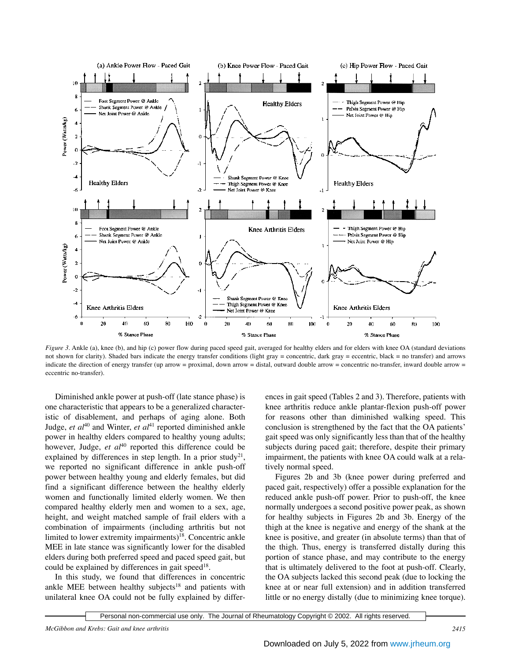

*Figure 3.* Ankle (a), knee (b), and hip (c) power flow during paced speed gait, averaged for healthy elders and for elders with knee OA (standard deviations not shown for clarity). Shaded bars indicate the energy transfer conditions (light gray = concentric, dark gray = eccentric, black = no transfer) and arrows indicate the direction of energy transfer (up arrow = proximal, down arrow = distal, outward double arrow = concentric no-transfer, inward double arrow = eccentric no-transfer).

Diminished ankle power at push-off (late stance phase) is one characteristic that appears to be a generalized characteristic of disablement, and perhaps of aging alone. Both Judge, *et al*<sup>40</sup> and Winter, *et al*<sup>41</sup> reported diminished ankle power in healthy elders compared to healthy young adults; however, Judge, *et al*<sup>40</sup> reported this difference could be explained by differences in step length. In a prior study<sup>21</sup>, we reported no significant difference in ankle push-off power between healthy young and elderly females, but did find a significant difference between the healthy elderly women and functionally limited elderly women. We then compared healthy elderly men and women to a sex, age, height, and weight matched sample of frail elders with a combination of impairments (including arthritis but not limited to lower extremity impairments)<sup>18</sup>. Concentric ankle MEE in late stance was significantly lower for the disabled elders during both preferred speed and paced speed gait, but could be explained by differences in gait speed $18$ .

In this study, we found that differences in concentric ankle MEE between healthy subjects $18$  and patients with unilateral knee OA could not be fully explained by differences in gait speed (Tables 2 and 3). Therefore, patients with knee arthritis reduce ankle plantar-flexion push-off power for reasons other than diminished walking speed. This conclusion is strengthened by the fact that the OA patients' gait speed was only significantly less than that of the healthy subjects during paced gait; therefore, despite their primary impairment, the patients with knee OA could walk at a relatively normal speed.

Figures 2b and 3b (knee power during preferred and paced gait, respectively) offer a possible explanation for the reduced ankle push-off power. Prior to push-off, the knee normally undergoes a second positive power peak, as shown for healthy subjects in Figures 2b and 3b. Energy of the thigh at the knee is negative and energy of the shank at the knee is positive, and greater (in absolute terms) than that of the thigh. Thus, energy is transferred distally during this portion of stance phase, and may contribute to the energy that is ultimately delivered to the foot at push-off. Clearly, the OA subjects lacked this second peak (due to locking the knee at or near full extension) and in addition transferred little or no energy distally (due to minimizing knee torque).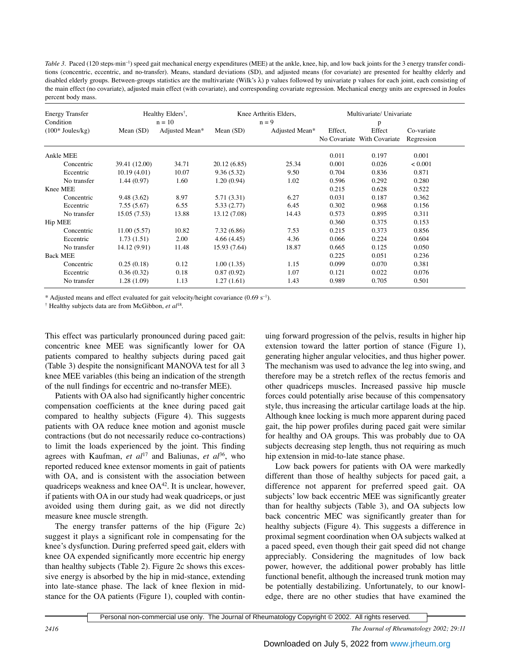*Table 3.* Paced (120 steps·min<sup>-1</sup>) speed gait mechanical energy expenditures (MEE) at the ankle, knee, hip, and low back joints for the 3 energy transfer conditions (concentric, eccentric, and no-transfer). Means, standard deviations (SD), and adjusted means (for covariate) are presented for healthy elderly and disabled elderly groups. Between-groups statistics are the multivariate (Wilk's λ) p values followed by univariate p values for each joint, each consisting of the main effect (no covariate), adjusted main effect (with covariate), and corresponding covariate regression. Mechanical energy units are expressed in Joules percent body mass.

| <b>Energy Transfer</b><br>Condition<br>$(100*$ Joules/kg) | Healthy Elders <sup>†</sup> ,<br>$n = 10$ |                | Knee Arthritis Elders,<br>$n = 9$ |                | Multivariate/ Univariate<br>p |                                       |                          |
|-----------------------------------------------------------|-------------------------------------------|----------------|-----------------------------------|----------------|-------------------------------|---------------------------------------|--------------------------|
|                                                           | Mean $(SD)$                               | Adjusted Mean* | Mean $(SD)$                       | Adjusted Mean* | Effect,                       | Effect<br>No Covariate With Covariate | Co-variate<br>Regression |
| Ankle MEE                                                 |                                           |                |                                   |                | 0.011                         | 0.197                                 | 0.001                    |
| Concentric                                                | 39.41 (12.00)                             | 34.71          | 20.12(6.85)                       | 25.34          | 0.001                         | 0.026                                 | < 0.001                  |
| Eccentric                                                 | 10.19(4.01)                               | 10.07          | 9.36(5.32)                        | 9.50           | 0.704                         | 0.836                                 | 0.871                    |
| No transfer                                               | 1.44(0.97)                                | 1.60           | 1.20(0.94)                        | 1.02           | 0.596                         | 0.292                                 | 0.280                    |
| Knee MEE                                                  |                                           |                |                                   |                | 0.215                         | 0.628                                 | 0.522                    |
| Concentric                                                | 9.48(3.62)                                | 8.97           | 5.71(3.31)                        | 6.27           | 0.031                         | 0.187                                 | 0.362                    |
| Eccentric                                                 | 7.55(5.67)                                | 6.55           | 5.33(2.77)                        | 6.45           | 0.302                         | 0.968                                 | 0.156                    |
| No transfer                                               | 15.05(7.53)                               | 13.88          | 13.12 (7.08)                      | 14.43          | 0.573                         | 0.895                                 | 0.311                    |
| <b>Hip MEE</b>                                            |                                           |                |                                   |                | 0.360                         | 0.375                                 | 0.153                    |
| Concentric                                                | 11.00(5.57)                               | 10.82          | 7.32(6.86)                        | 7.53           | 0.215                         | 0.373                                 | 0.856                    |
| Eccentric                                                 | 1.73(1.51)                                | 2.00           | 4.66(4.45)                        | 4.36           | 0.066                         | 0.224                                 | 0.604                    |
| No transfer                                               | 14.12 (9.91)                              | 11.48          | 15.93 (7.64)                      | 18.87          | 0.665                         | 0.125                                 | 0.050                    |
| <b>Back MEE</b>                                           |                                           |                |                                   |                | 0.225                         | 0.051                                 | 0.236                    |
| Concentric                                                | 0.25(0.18)                                | 0.12           | 1.00(1.35)                        | 1.15           | 0.099                         | 0.070                                 | 0.381                    |
| Eccentric                                                 | 0.36(0.32)                                | 0.18           | 0.87(0.92)                        | 1.07           | 0.121                         | 0.022                                 | 0.076                    |
| No transfer                                               | 1.28(1.09)                                | 1.13           | 1.27(1.61)                        | 1.43           | 0.989                         | 0.705                                 | 0.501                    |

\* Adjusted means and effect evaluated for gait velocity/height covariance  $(0.69 \text{ s}^{-1})$ .

† Healthy subjects data are from McGibbon, *et al*18.

This effect was particularly pronounced during paced gait: concentric knee MEE was significantly lower for OA patients compared to healthy subjects during paced gait (Table 3) despite the nonsignificant MANOVA test for all 3 knee MEE variables (this being an indication of the strength of the null findings for eccentric and no-transfer MEE).

Patients with OA also had significantly higher concentric compensation coefficients at the knee during paced gait compared to healthy subjects (Figure 4). This suggests patients with OA reduce knee motion and agonist muscle contractions (but do not necessarily reduce co-contractions) to limit the loads experienced by the joint. This finding agrees with Kaufman, *et al*<sup>17</sup> and Baliunas, *et al*<sup>36</sup>, who reported reduced knee extensor moments in gait of patients with OA, and is consistent with the association between quadriceps weakness and knee OA<sup>42</sup>. It is unclear, however, if patients with OA in our study had weak quadriceps, or just avoided using them during gait, as we did not directly measure knee muscle strength.

The energy transfer patterns of the hip (Figure 2c) suggest it plays a significant role in compensating for the knee's dysfunction. During preferred speed gait, elders with knee OA expended significantly more eccentric hip energy than healthy subjects (Table 2). Figure 2c shows this excessive energy is absorbed by the hip in mid-stance, extending into late-stance phase. The lack of knee flexion in midstance for the OA patients (Figure 1), coupled with continuing forward progression of the pelvis, results in higher hip extension toward the latter portion of stance (Figure 1), generating higher angular velocities, and thus higher power. The mechanism was used to advance the leg into swing, and therefore may be a stretch reflex of the rectus femoris and other quadriceps muscles. Increased passive hip muscle forces could potentially arise because of this compensatory style, thus increasing the articular cartilage loads at the hip. Although knee locking is much more apparent during paced gait, the hip power profiles during paced gait were similar for healthy and OA groups. This was probably due to OA subjects decreasing step length, thus not requiring as much hip extension in mid-to-late stance phase.

Low back powers for patients with OA were markedly different than those of healthy subjects for paced gait, a difference not apparent for preferred speed gait. OA subjects' low back eccentric MEE was significantly greater than for healthy subjects (Table 3), and OA subjects low back concentric MEC was significantly greater than for healthy subjects (Figure 4). This suggests a difference in proximal segment coordination when OA subjects walked at a paced speed, even though their gait speed did not change appreciably. Considering the magnitudes of low back power, however, the additional power probably has little functional benefit, although the increased trunk motion may be potentially destabilizing. Unfortunately, to our knowledge, there are no other studies that have examined the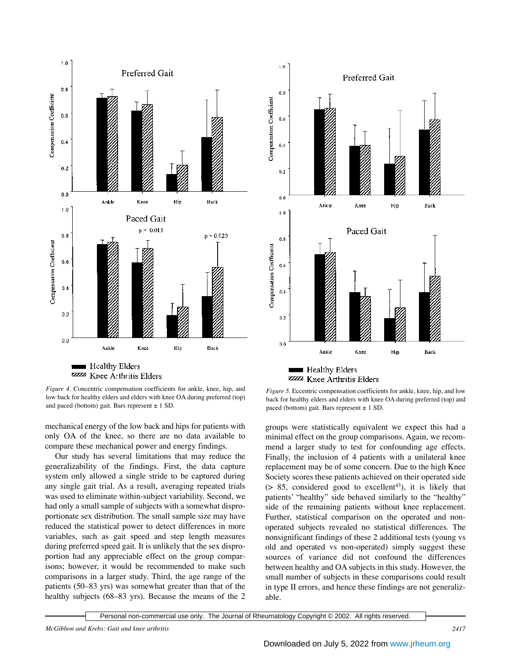

*Figure 4.* Concentric compensation coefficients for ankle, knee, hip, and low back for healthy elders and elders with knee OA during preferred (top) and paced (bottom) gait. Bars represent  $\pm$  1 SD.

mechanical energy of the low back and hips for patients with only OA of the knee, so there are no data available to compare these mechanical power and energy findings.

Our study has several limitations that may reduce the generalizability of the findings. First, the data capture system only allowed a single stride to be captured during any single gait trial. As a result, averaging repeated trials was used to eliminate within-subject variability. Second, we had only a small sample of subjects with a somewhat disproportionate sex distribution. The small sample size may have reduced the statistical power to detect differences in more variables, such as gait speed and step length measures during preferred speed gait. It is unlikely that the sex disproportion had any appreciable effect on the group comparisons; however, it would be recommended to make such comparisons in a larger study. Third, the age range of the patients (50–83 yrs) was somewhat greater than that of the healthy subjects (68–83 yrs). Because the means of the 2



*Figure 5.* Eccentric compensation coefficients for ankle, knee, hip, and low back for healthy elders and elders with knee OA during preferred (top) and paced (bottom) gait. Bars represent  $\pm$  1 SD.

groups were statistically equivalent we expect this had a minimal effect on the group comparisons. Again, we recommend a larger study to test for confounding age effects. Finally, the inclusion of 4 patients with a unilateral knee replacement may be of some concern. Due to the high Knee Society scores these patients achieved on their operated side  $(> 85$ , considered good to excellent<sup>43</sup>), it is likely that patients' "healthy" side behaved similarly to the "healthy" side of the remaining patients without knee replacement. Further, statistical comparison on the operated and nonoperated subjects revealed no statistical differences. The nonsignificant findings of these 2 additional tests (young vs old and operated vs non-operated) simply suggest these sources of variance did not confound the differences between healthy and OA subjects in this study. However, the small number of subjects in these comparisons could result in type II errors, and hence these findings are not generalizable.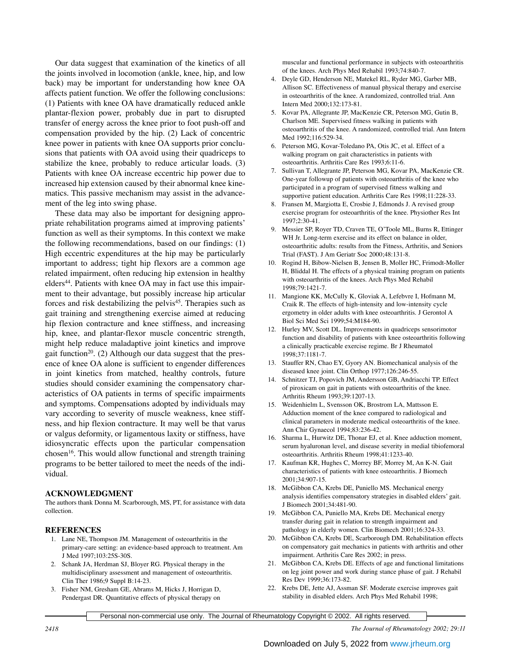Our data suggest that examination of the kinetics of all the joints involved in locomotion (ankle, knee, hip, and low back) may be important for understanding how knee OA affects patient function. We offer the following conclusions: (1) Patients with knee OA have dramatically reduced ankle plantar-flexion power, probably due in part to disrupted transfer of energy across the knee prior to foot push-off and compensation provided by the hip. (2) Lack of concentric knee power in patients with knee OA supports prior conclusions that patients with OA avoid using their quadriceps to stabilize the knee, probably to reduce articular loads. (3) Patients with knee OA increase eccentric hip power due to increased hip extension caused by their abnormal knee kinematics. This passive mechanism may assist in the advancement of the leg into swing phase.

These data may also be important for designing appropriate rehabilitation programs aimed at improving patients' function as well as their symptoms. In this context we make the following recommendations, based on our findings: (1) High eccentric expenditures at the hip may be particularly important to address; tight hip flexors are a common age related impairment, often reducing hip extension in healthy elders<sup>44</sup>. Patients with knee OA may in fact use this impairment to their advantage, but possibly increase hip articular forces and risk destabilizing the pelvis<sup>45</sup>. Therapies such as gait training and strengthening exercise aimed at reducing hip flexion contracture and knee stiffness, and increasing hip, knee, and plantar-flexor muscle concentric strength, might help reduce maladaptive joint kinetics and improve gait function<sup>20</sup>. (2) Although our data suggest that the presence of knee OA alone is sufficient to engender differences in joint kinetics from matched, healthy controls, future studies should consider examining the compensatory characteristics of OA patients in terms of specific impairments and symptoms. Compensations adopted by individuals may vary according to severity of muscle weakness, knee stiffness, and hip flexion contracture. It may well be that varus or valgus deformity, or ligamentous laxity or stiffness, have idiosyncratic effects upon the particular compensation  $chosen<sup>16</sup>$ . This would allow functional and strength training programs to be better tailored to meet the needs of the individual.

#### **ACKNOWLEDGMENT**

The authors thank Donna M. Scarborough, MS, PT, for assistance with data collection.

#### **REFERENCES**

- 1. Lane NE, Thompson JM. Management of osteoarthritis in the primary-care setting: an evidence-based approach to treatment. Am J Med 1997;103:25S-30S.
- 2. Schank JA, Herdman SJ, Bloyer RG. Physical therapy in the multidisciplinary assessment and management of osteoarthritis. Clin Ther 1986;9 Suppl B:14-23.
- 3. Fisher NM, Gresham GE, Abrams M, Hicks J, Horrigan D, Pendergast DR. Quantitative effects of physical therapy on

muscular and functional performance in subjects with osteoarthritis of the knees. Arch Phys Med Rehabil 1993;74:840-7.

- 4. Deyle GD, Henderson NE, Matekel RL, Ryder MG, Garber MB, Allison SC. Effectiveness of manual physical therapy and exercise in osteoarthritis of the knee. A randomized, controlled trial. Ann Intern Med 2000;132:173-81.
- 5. Kovar PA, Allegrante JP, MacKenzie CR, Peterson MG, Gutin B, Charlson ME. Supervised fitness walking in patients with osteoarthritis of the knee. A randomized, controlled trial. Ann Intern Med 1992;116:529-34.
- 6. Peterson MG, Kovar-Toledano PA, Otis JC, et al. Effect of a walking program on gait characteristics in patients with osteoarthritis. Arthritis Care Res 1993;6:11-6.
- 7. Sullivan T, Allegrante JP, Peterson MG, Kovar PA, MacKenzie CR. One-year followup of patients with osteoarthritis of the knee who participated in a program of supervised fitness walking and supportive patient education. Arthritis Care Res 1998;11:228-33.
- 8. Fransen M, Margiotta E, Crosbie J, Edmonds J. A revised group exercise program for osteoarthritis of the knee. Physiother Res Int 1997;2:30-41.
- 9. Messier SP, Royer TD, Craven TE, O'Toole ML, Burns R, Ettinger WH Jr. Long-term exercise and its effect on balance in older, osteoarthritic adults: results from the Fitness, Arthritis, and Seniors Trial (FAST). J Am Geriatr Soc 2000;48:131-8.
- 10. Rogind H, Bibow-Nielsen B, Jensen B, Moller HC, Frimodt-Moller H, Bliddal H. The effects of a physical training program on patients with osteoarthritis of the knees. Arch Phys Med Rehabil 1998;79:1421-7.
- 11. Mangione KK, McCully K, Gloviak A, Lefebvre I, Hofmann M, Craik R. The effects of high-intensity and low-intensity cycle ergometry in older adults with knee osteoarthritis. J Gerontol A Biol Sci Med Sci 1999;54:M184-90.
- 12. Hurley MV, Scott DL. Improvements in quadriceps sensorimotor function and disability of patients with knee osteoarthritis following a clinically practicable exercise regime. Br J Rheumatol 1998;37:1181-7.
- 13. Stauffer RN, Chao EY, Gyory AN. Biomechanical analysis of the diseased knee joint. Clin Orthop 1977;126:246-55.
- 14. Schnitzer TJ, Popovich JM, Andersson GB, Andriacchi TP. Effect of piroxicam on gait in patients with osteoarthritis of the knee. Arthritis Rheum 1993;39:1207-13.
- 15. Weidenhielm L, Svensson OK, Brostrom LA, Mattsson E. Adduction moment of the knee compared to radiological and clinical parameters in moderate medical osteoarthritis of the knee. Ann Chir Gynaecol 1994;83:236-42.
- 16. Sharma L, Hurwitz DE, Thonar EJ, et al. Knee adduction moment, serum hyaluronan level, and disease severity in medial tibiofemoral osteoarthritis. Arthritis Rheum 1998;41:1233-40.
- 17. Kaufman KR, Hughes C, Morrey BF, Morrey M, An K-N. Gait characteristics of patients with knee osteoarthritis. J Biomech 2001;34:907-15.
- 18. McGibbon CA, Krebs DE, Puniello MS. Mechanical energy analysis identifies compensatory strategies in disabled elders' gait. J Biomech 2001;34:481-90.
- 19. McGibbon CA, Puniello MA, Krebs DE. Mechanical energy transfer during gait in relation to strength impairment and pathology in elderly women. Clin Biomech 2001;16:324-33.
- 20. McGibbon CA, Krebs DE, Scarborough DM. Rehabilitation effects on compensatory gait mechanics in patients with arthritis and other impairment. Arthritis Care Res 2002; in press.
- 21. McGibbon CA, Krebs DE. Effects of age and functional limitations on leg joint power and work during stance phase of gait. J Rehabil Res Dev 1999;36:173-82.
- 22. Krebs DE, Jette AJ, Assman SF. Moderate exercise improves gait stability in disabled elders. Arch Phys Med Rehabil 1998;

Personal non-commercial use only. The Journal of Rheumatology Copyright © 2002. All rights reserved.